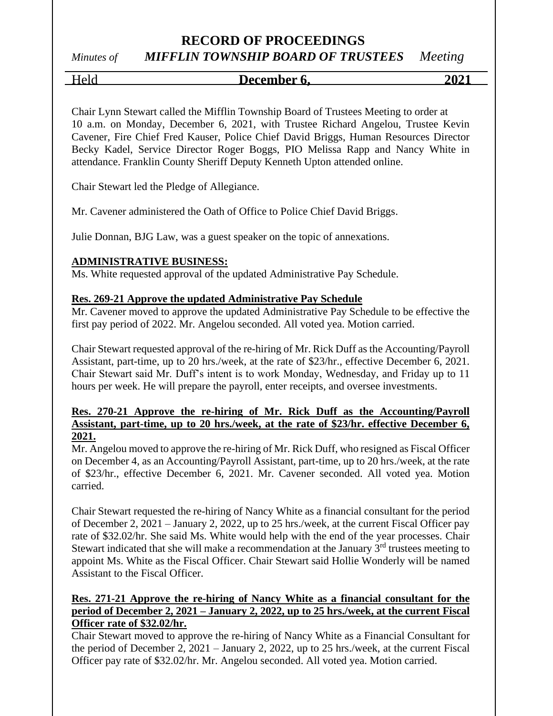# *Minutes of MIFFLIN TOWNSHIP BOARD OF TRUSTEES Meeting*

# Held **December 6, 2021**

Chair Lynn Stewart called the Mifflin Township Board of Trustees Meeting to order at 10 a.m. on Monday, December 6, 2021, with Trustee Richard Angelou, Trustee Kevin Cavener, Fire Chief Fred Kauser, Police Chief David Briggs, Human Resources Director Becky Kadel, Service Director Roger Boggs, PIO Melissa Rapp and Nancy White in attendance. Franklin County Sheriff Deputy Kenneth Upton attended online.

Chair Stewart led the Pledge of Allegiance.

Mr. Cavener administered the Oath of Office to Police Chief David Briggs.

Julie Donnan, BJG Law, was a guest speaker on the topic of annexations.

# **ADMINISTRATIVE BUSINESS:**

Ms. White requested approval of the updated Administrative Pay Schedule.

## **Res. 269-21 Approve the updated Administrative Pay Schedule**

Mr. Cavener moved to approve the updated Administrative Pay Schedule to be effective the first pay period of 2022. Mr. Angelou seconded. All voted yea. Motion carried.

Chair Stewart requested approval of the re-hiring of Mr. Rick Duff as the Accounting/Payroll Assistant, part-time, up to 20 hrs./week, at the rate of \$23/hr., effective December 6, 2021. Chair Stewart said Mr. Duff's intent is to work Monday, Wednesday, and Friday up to 11 hours per week. He will prepare the payroll, enter receipts, and oversee investments.

### **Res. 270-21 Approve the re-hiring of Mr. Rick Duff as the Accounting/Payroll Assistant, part-time, up to 20 hrs./week, at the rate of \$23/hr. effective December 6, 2021.**

Mr. Angelou moved to approve the re-hiring of Mr. Rick Duff, who resigned as Fiscal Officer on December 4, as an Accounting/Payroll Assistant, part-time, up to 20 hrs./week, at the rate of \$23/hr., effective December 6, 2021. Mr. Cavener seconded. All voted yea. Motion carried.

Chair Stewart requested the re-hiring of Nancy White as a financial consultant for the period of December 2, 2021 – January 2, 2022, up to 25 hrs./week, at the current Fiscal Officer pay rate of \$32.02/hr. She said Ms. White would help with the end of the year processes. Chair Stewart indicated that she will make a recommendation at the January  $3<sup>rd</sup>$  trustees meeting to appoint Ms. White as the Fiscal Officer. Chair Stewart said Hollie Wonderly will be named Assistant to the Fiscal Officer.

## **Res. 271-21 Approve the re-hiring of Nancy White as a financial consultant for the period of December 2, 2021 – January 2, 2022, up to 25 hrs./week, at the current Fiscal Officer rate of \$32.02/hr.**

Chair Stewart moved to approve the re-hiring of Nancy White as a Financial Consultant for the period of December 2, 2021 – January 2, 2022, up to 25 hrs./week, at the current Fiscal Officer pay rate of \$32.02/hr. Mr. Angelou seconded. All voted yea. Motion carried.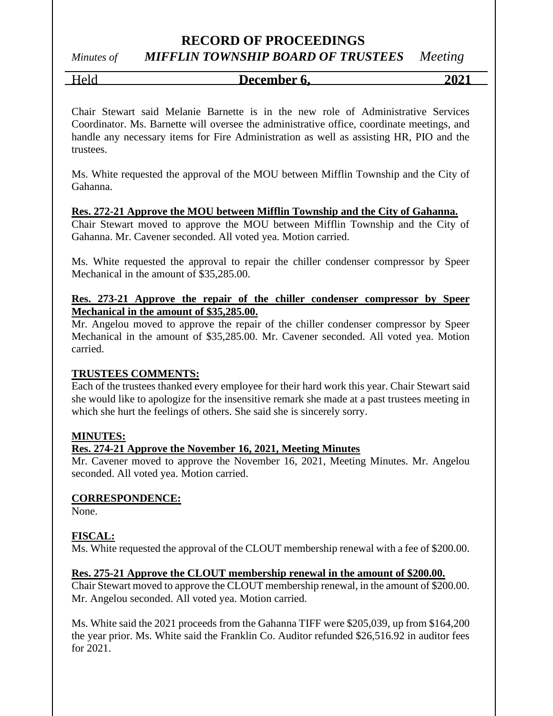# *Minutes of MIFFLIN TOWNSHIP BOARD OF TRUSTEES Meeting*

Held **December 6, 2021**

Chair Stewart said Melanie Barnette is in the new role of Administrative Services Coordinator. Ms. Barnette will oversee the administrative office, coordinate meetings, and handle any necessary items for Fire Administration as well as assisting HR, PIO and the trustees.

Ms. White requested the approval of the MOU between Mifflin Township and the City of Gahanna.

#### **Res. 272-21 Approve the MOU between Mifflin Township and the City of Gahanna.**

Chair Stewart moved to approve the MOU between Mifflin Township and the City of Gahanna. Mr. Cavener seconded. All voted yea. Motion carried.

Ms. White requested the approval to repair the chiller condenser compressor by Speer Mechanical in the amount of \$35,285.00.

### **Res. 273-21 Approve the repair of the chiller condenser compressor by Speer Mechanical in the amount of \$35,285.00.**

Mr. Angelou moved to approve the repair of the chiller condenser compressor by Speer Mechanical in the amount of \$35,285.00. Mr. Cavener seconded. All voted yea. Motion carried.

## **TRUSTEES COMMENTS:**

Each of the trustees thanked every employee for their hard work this year. Chair Stewart said she would like to apologize for the insensitive remark she made at a past trustees meeting in which she hurt the feelings of others. She said she is sincerely sorry.

#### **MINUTES:**

#### **Res. 274-21 Approve the November 16, 2021, Meeting Minutes**

Mr. Cavener moved to approve the November 16, 2021, Meeting Minutes. Mr. Angelou seconded. All voted yea. Motion carried.

#### **CORRESPONDENCE:**

None.

#### **FISCAL:**

Ms. White requested the approval of the CLOUT membership renewal with a fee of \$200.00.

#### **Res. 275-21 Approve the CLOUT membership renewal in the amount of \$200.00.**

Chair Stewart moved to approve the CLOUT membership renewal, in the amount of \$200.00. Mr. Angelou seconded. All voted yea. Motion carried.

Ms. White said the 2021 proceeds from the Gahanna TIFF were \$205,039, up from \$164,200 the year prior. Ms. White said the Franklin Co. Auditor refunded \$26,516.92 in auditor fees for 2021.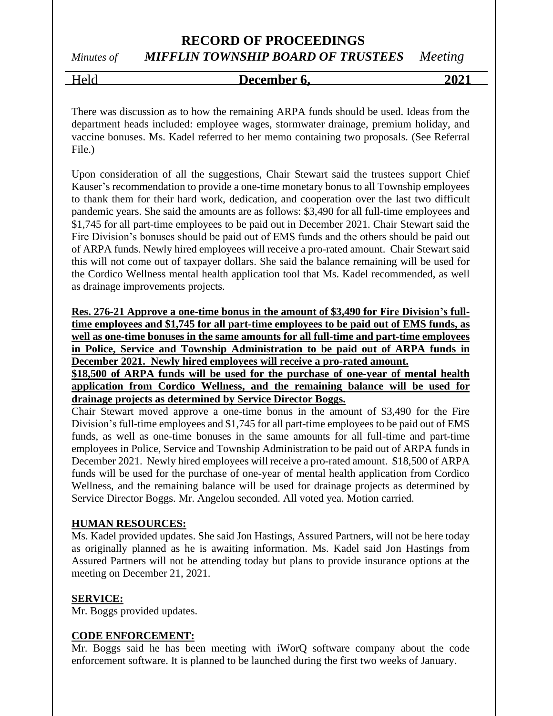# *Minutes of MIFFLIN TOWNSHIP BOARD OF TRUSTEES Meeting*

Held **December 6, 2021**

There was discussion as to how the remaining ARPA funds should be used. Ideas from the department heads included: employee wages, stormwater drainage, premium holiday, and vaccine bonuses. Ms. Kadel referred to her memo containing two proposals. (See Referral File.)

Upon consideration of all the suggestions, Chair Stewart said the trustees support Chief Kauser's recommendation to provide a one-time monetary bonus to all Township employees to thank them for their hard work, dedication, and cooperation over the last two difficult pandemic years. She said the amounts are as follows: \$3,490 for all full-time employees and \$1,745 for all part-time employees to be paid out in December 2021. Chair Stewart said the Fire Division's bonuses should be paid out of EMS funds and the others should be paid out of ARPA funds. Newly hired employees will receive a pro-rated amount. Chair Stewart said this will not come out of taxpayer dollars. She said the balance remaining will be used for the Cordico Wellness mental health application tool that Ms. Kadel recommended, as well as drainage improvements projects.

**Res. 276-21 Approve a one-time bonus in the amount of \$3,490 for Fire Division's fulltime employees and \$1,745 for all part-time employees to be paid out of EMS funds, as well as one-time bonuses in the same amounts for all full-time and part-time employees in Police, Service and Township Administration to be paid out of ARPA funds in December 2021. Newly hired employees will receive a pro-rated amount.**

**\$18,500 of ARPA funds will be used for the purchase of one-year of mental health application from Cordico Wellness, and the remaining balance will be used for drainage projects as determined by Service Director Boggs.**

Chair Stewart moved approve a one-time bonus in the amount of \$3,490 for the Fire Division's full-time employees and \$1,745 for all part-time employees to be paid out of EMS funds, as well as one-time bonuses in the same amounts for all full-time and part-time employees in Police, Service and Township Administration to be paid out of ARPA funds in December 2021. Newly hired employees will receive a pro-rated amount. \$18,500 of ARPA funds will be used for the purchase of one-year of mental health application from Cordico Wellness, and the remaining balance will be used for drainage projects as determined by Service Director Boggs. Mr. Angelou seconded. All voted yea. Motion carried.

#### **HUMAN RESOURCES:**

Ms. Kadel provided updates. She said Jon Hastings, Assured Partners, will not be here today as originally planned as he is awaiting information. Ms. Kadel said Jon Hastings from Assured Partners will not be attending today but plans to provide insurance options at the meeting on December 21, 2021.

#### **SERVICE:**

Mr. Boggs provided updates.

#### **CODE ENFORCEMENT:**

Mr. Boggs said he has been meeting with iWorQ software company about the code enforcement software. It is planned to be launched during the first two weeks of January.